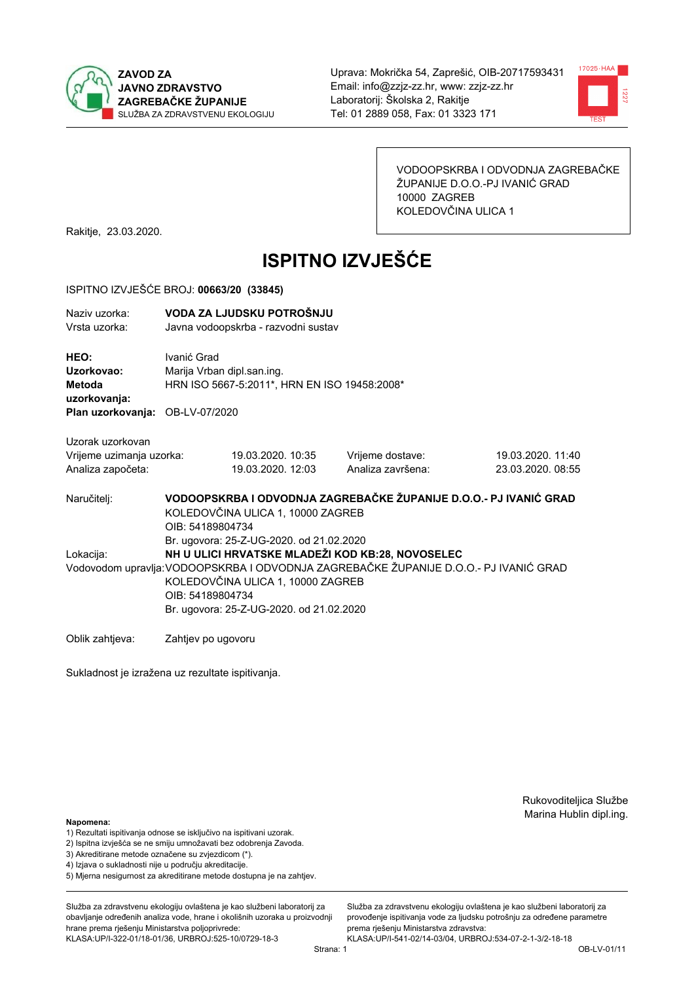



VODOOPSKRBA I ODVODNJA ZAGREBAČKE ŽUPANIJE D.O.O.-PJ IVANIĆ GRAD 10000 ZAGREB KOLEDOVČINA ULICA 1

Rakitje, 23.03.2020.

# **ISPITNO IZVJEŠĆE**

#### ISPITNO IZVJEŠĆE BROJ: 00663/20 (33845)

| Naziv uzorka:<br>Vrsta uzorka:                                    |                                                                                                                                                                                                                                                                                            | VODA ZA LJUDSKU POTROŠNJU<br>Javna vodoopskrba - razvodni sustav           |                                       |                                        |  |  |
|-------------------------------------------------------------------|--------------------------------------------------------------------------------------------------------------------------------------------------------------------------------------------------------------------------------------------------------------------------------------------|----------------------------------------------------------------------------|---------------------------------------|----------------------------------------|--|--|
| HEO:<br>Uzorkovao:<br>Metoda<br>uzorkovanja:                      | Ivanić Grad                                                                                                                                                                                                                                                                                | Marija Vrban dipl.san.ing.<br>HRN ISO 5667-5:2011*, HRN EN ISO 19458:2008* |                                       |                                        |  |  |
| Plan uzorkovanja: OB-LV-07/2020                                   |                                                                                                                                                                                                                                                                                            |                                                                            |                                       |                                        |  |  |
| Uzorak uzorkovan<br>Vrijeme uzimanja uzorka:<br>Analiza započeta: |                                                                                                                                                                                                                                                                                            | 19.03.2020. 10:35<br>19.03.2020. 12:03                                     | Vrijeme dostave:<br>Analiza završena: | 19.03.2020. 11:40<br>23.03.2020. 08:55 |  |  |
| Naručitelj:                                                       | VODOOPSKRBA I ODVODNJA ZAGREBAČKE ŽUPANIJE D.O.O.- PJ IVANIĆ GRAD<br>KOLEDOVČINA ULICA 1, 10000 ZAGREB<br>OIB: 54189804734                                                                                                                                                                 |                                                                            |                                       |                                        |  |  |
| Lokacija:                                                         | Br. ugovora: 25-Z-UG-2020. od 21.02.2020<br>NH U ULICI HRVATSKE MLADEŽI KOD KB:28, NOVOSELEC<br>Vodovodom upravlja: VODOOPSKRBA I ODVODNJA ZAGREBAČKE ŽUPANIJE D.O.O.- PJ IVANIĆ GRAD<br>KOLEDOVČINA ULICA 1, 10000 ZAGREB<br>OIB: 54189804734<br>Br. ugovora: 25-Z-UG-2020. od 21.02.2020 |                                                                            |                                       |                                        |  |  |
| Oblik zahtjeva:                                                   | Zahtjev po ugovoru                                                                                                                                                                                                                                                                         |                                                                            |                                       |                                        |  |  |

Sukladnost je izražena uz rezultate ispitivanja.

Rukovoditeljica Službe Marina Hublin dipl.ing.

Služba za zdravstvenu ekologiju ovlaštena je kao službeni laboratorij za provođenie ispitivania vode za liudsku potrošniu za određene parametre

prema rješenju Ministarstva zdravstva:

#### Napomena:

- 1) Rezultati ispitivanja odnose se isključivo na ispitivani uzorak.
- 2) Ispitna izvješća se ne smiju umnožavati bez odobrenja Zavoda.
- 3) Akreditirane metode označene su zvjezdicom (\*).
- 4) Iziava o sukladnosti nije u području akreditacije.
- 5) Mjerna nesigurnost za akreditirane metode dostupna je na zahtjev.

Služba za zdravstvenu ekologiju ovlaštena je kao službeni laboratorij za obavlianie određenih analiza vode, hrane i okolišnih uzoraka u proizvodniji hrane prema rješenju Ministarstva poljoprivrede: KLASA:UP/I-322-01/18-01/36, URBROJ:525-10/0729-18-3

KLASA:UP/I-541-02/14-03/04, URBROJ:534-07-2-1-3/2-18-18 Strana: 1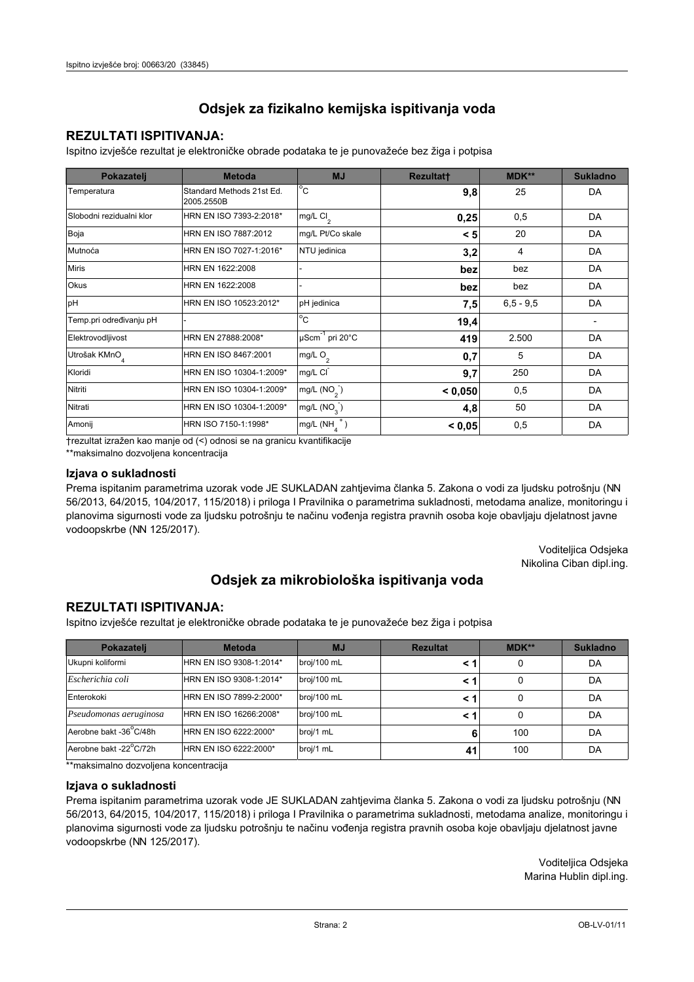# **REZULTATI ISPITIVANJA:**

Ispitno izviešće rezultat je elektroničke obrade podataka te je punovažeće bez žiga i potpisa

| Pokazatelj                | <b>Metoda</b>                           | <b>MJ</b>               | <b>Rezultatt</b> | MDK**         | <b>Sukladno</b> |
|---------------------------|-----------------------------------------|-------------------------|------------------|---------------|-----------------|
| Temperatura               | Standard Methods 21st Ed.<br>2005.2550B | $^{\circ}$ C            | 9,8              | 25            | DA              |
| Slobodni rezidualni klor  | HRN EN ISO 7393-2:2018*                 | mg/L $Cl2$              | 0,25             | 0,5           | DA              |
| Boja                      | HRN EN ISO 7887:2012                    | mg/L Pt/Co skale        | < 5              | 20            | DA              |
| Mutnoća                   | HRN EN ISO 7027-1:2016*                 | NTU jedinica            | 3,2              | 4             | DA              |
| <b>Miris</b>              | HRN EN 1622:2008                        |                         | bez              | bez           | DA              |
| Okus                      | HRN EN 1622:2008                        |                         | bez              | bez           | DA              |
| pH                        | HRN EN ISO 10523:2012*                  | pH jedinica             | 7,5              | $6, 5 - 9, 5$ | DA              |
| Temp.pri određivanju pH   |                                         | $^{\circ}$ C            | 19,4             |               |                 |
| Elektrovodljivost         | HRN EN 27888:2008*                      | µScm-1 pri 20°C         | 419              | 2.500         | DA              |
| Utrošak KMnO <sub>4</sub> | HRN EN ISO 8467:2001                    | mg/L $O2$               | 0,7              | 5             | DA              |
| Kloridi                   | HRN EN ISO 10304-1:2009*                | mg/L CI                 | 9,7              | 250           | DA              |
| Nitriti                   | HRN EN ISO 10304-1:2009*                | mg/L $(NO2)$            | < 0.050          | 0,5           | DA              |
| Nitrati                   | HRN EN ISO 10304-1:2009*                | mg/L (NO <sub>3</sub> ) | 4,8              | 50            | DA              |
| Amonij                    | HRN ISO 7150-1:1998*                    | mg/L (NH                | < 0,05           | 0,5           | DA              |

trezultat izražen kao manje od (<) odnosi se na granicu kvantifikacije

\*\*maksimalno dozvoljena koncentracija

## Izjava o sukladnosti

Prema ispitanim parametrima uzorak vode JE SUKLADAN zahtievima članka 5. Zakona o vodi za ljudsku potrošnju (NN 56/2013, 64/2015, 104/2017, 115/2018) i priloga I Pravilnika o parametrima sukladnosti, metodama analize, monitoringu i planovima sigurnosti vode za ljudsku potrošnju te načinu vođenja registra pravnih osoba koje obavljaju djelatnost javne vodoopskrbe (NN 125/2017).

> Voditeljica Odsjeka Nikolina Ciban dipl.ing.

# Odsjek za mikrobiološka ispitivanja voda

## **REZULTATI ISPITIVANJA:**

Ispitno izvješće rezultat je elektroničke obrade podataka te je punovažeće bez žiga i potpisa

| Pokazatelj             | <b>Metoda</b>           | <b>MJ</b>   | <b>Rezultat</b> | <b>MDK**</b> | <b>Sukladno</b> |
|------------------------|-------------------------|-------------|-----------------|--------------|-----------------|
| Ukupni koliformi       | HRN EN ISO 9308-1:2014* | broj/100 mL |                 |              | DA              |
| Escherichia coli       | HRN EN ISO 9308-1:2014* | broj/100 mL | < 1             |              | DA              |
| Enterokoki             | HRN EN ISO 7899-2:2000* | broj/100 mL | < '             |              | DA              |
| Pseudomonas aeruginosa | HRN EN ISO 16266:2008*  | broj/100 mL | < 1             | 0            | DA              |
| Aerobne bakt -36 C/48h | HRN EN ISO 6222:2000*   | broj/1 mL   | 6               | 100          | DA              |
| Aerobne bakt -22°C/72h | HRN EN ISO 6222:2000*   | broj/1 mL   | 41              | 100          | DA              |

\*\*maksimalno dozvoljena koncentracija

#### Izjava o sukladnosti

Prema ispitanim parametrima uzorak vode JE SUKLADAN zahtjevima članka 5. Zakona o vodi za ljudsku potrošnju (NN 56/2013, 64/2015, 104/2017, 115/2018) i priloga I Pravilnika o parametrima sukladnosti, metodama analize, monitoringu i planovima sigurnosti vode za ljudsku potrošnju te načinu vođenja registra pravnih osoba koje obavljaju djelatnost javne vodoopskrbe (NN 125/2017).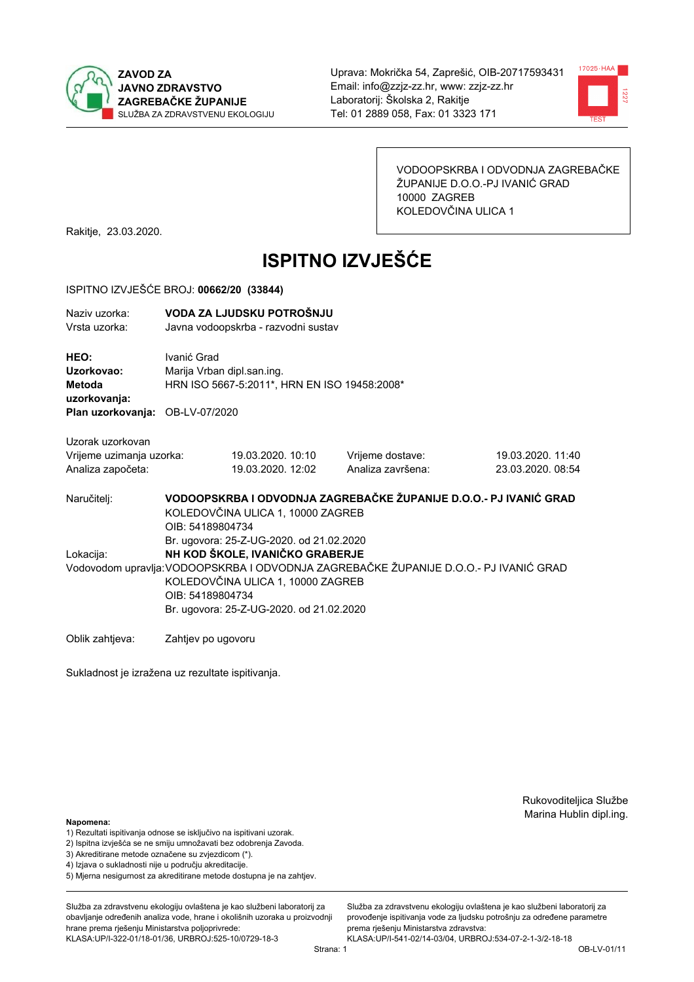



VODOOPSKRBA I ODVODNJA ZAGREBAČKE ŽUPANIJE D.O.O.-PJ IVANIĆ GRAD 10000 ZAGREB KOLEDOVČINA ULICA 1

Rakitje, 23.03.2020.

# **ISPITNO IZVJEŠĆE**

#### ISPITNO IZVJEŠĆE BROJ: 00662/20 (33844)

| Naziv uzorka:<br>Vrsta uzorka:  |                                   | VODA ZA LJUDSKU POTROŠNJU<br>Javna vodoopskrba - razvodni sustav |                                                                   |                   |  |  |  |
|---------------------------------|-----------------------------------|------------------------------------------------------------------|-------------------------------------------------------------------|-------------------|--|--|--|
| HEO:<br>Uzorkovao:              | Ivanić Grad                       | Marija Vrban dipl.san.ing.                                       |                                                                   |                   |  |  |  |
| Metoda                          |                                   | HRN ISO 5667-5:2011*, HRN EN ISO 19458:2008*                     |                                                                   |                   |  |  |  |
| uzorkovanja:                    |                                   |                                                                  |                                                                   |                   |  |  |  |
| Plan uzorkovanja: OB-LV-07/2020 |                                   |                                                                  |                                                                   |                   |  |  |  |
| Uzorak uzorkovan                |                                   |                                                                  |                                                                   |                   |  |  |  |
| Vrijeme uzimanja uzorka:        |                                   | 19.03.2020, 10:10                                                | Vrijeme dostave:                                                  | 19.03.2020. 11:40 |  |  |  |
| Analiza započeta:               |                                   | 19.03.2020. 12:02                                                | Analiza završena:                                                 | 23.03.2020. 08:54 |  |  |  |
| Naručitelj:                     |                                   |                                                                  | VODOOPSKRBA I ODVODNJA ZAGREBAČKE ŽUPANIJE D.O.O.- PJ IVANIĆ GRAD |                   |  |  |  |
|                                 | KOLEDOVČINA ULICA 1, 10000 ZAGREB |                                                                  |                                                                   |                   |  |  |  |
|                                 | OIB: 54189804734                  |                                                                  |                                                                   |                   |  |  |  |
|                                 |                                   | Br. ugovora: 25-Z-UG-2020. od 21.02.2020                         |                                                                   |                   |  |  |  |
|                                 |                                   |                                                                  |                                                                   |                   |  |  |  |

Lokacija: NH KOD ŠKOLE, IVANIČKO GRABERJE Vodovodom upravlja: VODOOPSKRBA I ODVODNJA ZAGREBAČKE ŽUPANIJE D.O.O.- PJ IVANIĆ GRAD KOLEDOVČINA ULICA 1, 10000 ZAGREB OIB: 54189804734 Br. ugovora: 25-Z-UG-2020, od 21.02.2020

Oblik zahtjeva: Zahtjev po ugovoru

Sukladnost je izražena uz rezultate ispitivanja.

Rukovoditeljica Službe Marina Hublin dipl.ing.

#### Napomena:

- 1) Rezultati ispitivanja odnose se isključivo na ispitivani uzorak.
- 2) Ispitna izvješća se ne smiju umnožavati bez odobrenja Zavoda.
- 3) Akreditirane metode označene su zvjezdicom (\*).
- 4) Iziava o sukladnosti nije u području akreditacije.
- 5) Mjerna nesigurnost za akreditirane metode dostupna je na zahtjev.

Služba za zdravstvenu ekologiju ovlaštena je kao službeni laboratorij za obavlianie određenih analiza vode, hrane i okolišnih uzoraka u proizvodniji hrane prema rješenju Ministarstva poljoprivrede: KLASA:UP/I-322-01/18-01/36, URBROJ:525-10/0729-18-3

Služba za zdravstvenu ekologiju ovlaštena je kao službeni laboratorij za provođenie ispitivania vode za liudsku potrošniu za određene parametre prema rješenju Ministarstva zdravstva: KLASA:UP/I-541-02/14-03/04, URBROJ:534-07-2-1-3/2-18-18

Strana: 1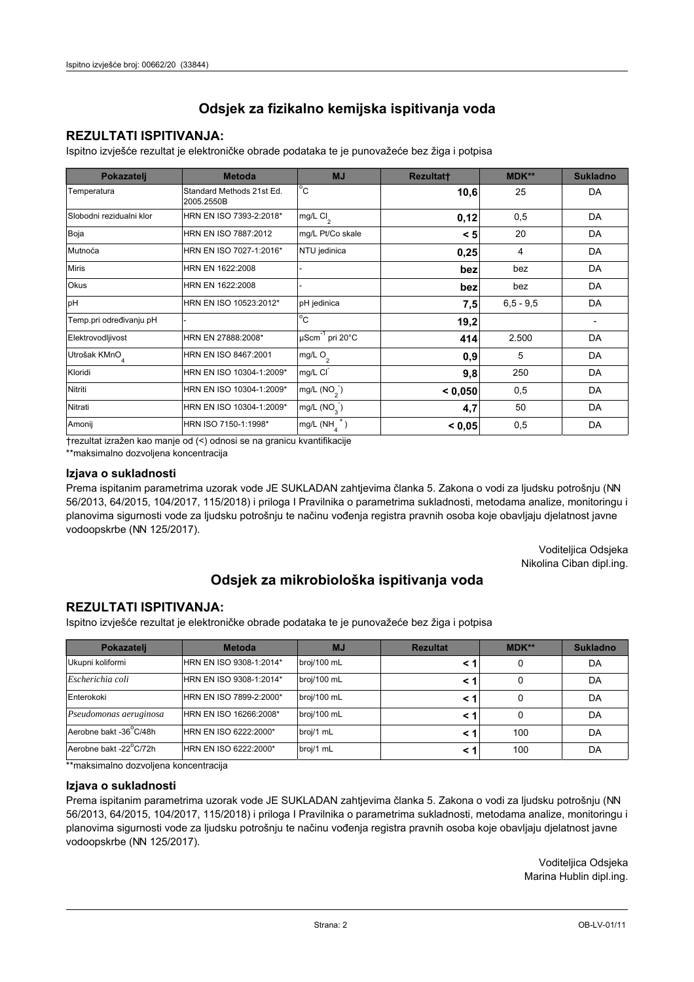# **REZULTATI ISPITIVANJA:**

Ispitno izviešće rezultat je elektroničke obrade podataka te je punovažeće bez žiga i potpisa

| Pokazatelj                | <b>Metoda</b>                           | <b>MJ</b>                   | <b>Rezultatt</b> | MDK**         | <b>Sukladno</b> |
|---------------------------|-----------------------------------------|-----------------------------|------------------|---------------|-----------------|
| Temperatura               | Standard Methods 21st Ed.<br>2005.2550B | $^{\circ}$ C                | 10,6             | 25            | DA              |
| Slobodni rezidualni klor  | HRN EN ISO 7393-2:2018*                 | mg/L $Cl2$                  | 0,12             | 0,5           | DA              |
| Boja                      | HRN EN ISO 7887:2012                    | mg/L Pt/Co skale            | < 5              | 20            | DA              |
| Mutnoća                   | HRN EN ISO 7027-1:2016*                 | NTU jedinica                | 0,25             | 4             | DA              |
| <b>Miris</b>              | HRN EN 1622:2008                        |                             | bez              | bez           | DA              |
| <b>Okus</b>               | HRN EN 1622:2008                        |                             | bez              | bez           | DA              |
| pH                        | HRN EN ISO 10523:2012*                  | pH jedinica                 | 7,5              | $6, 5 - 9, 5$ | DA              |
| Temp.pri određivanju pH   |                                         | $\overline{C}$              | 19,2             |               |                 |
| Elektrovodljivost         | HRN EN 27888:2008*                      | µScm <sup>-1</sup> pri 20°C | 414              | 2.500         | DA              |
| Utrošak KMnO <sub>4</sub> | HRN EN ISO 8467:2001                    | mg/L O <sub>2</sub>         | 0,9              | 5             | DA              |
| Kloridi                   | HRN EN ISO 10304-1:2009*                | mg/L CI                     | 9,8              | 250           | DA              |
| Nitriti                   | HRN EN ISO 10304-1:2009*                | mg/L $(NO2)$                | < 0,050          | 0,5           | DA              |
| Nitrati                   | HRN EN ISO 10304-1:2009*                | mg/L (NO <sub>3</sub> )     | 4,7              | 50            | DA              |
| Amonij                    | HRN ISO 7150-1:1998*                    | mg/L (NH                    | < 0,05           | 0,5           | DA              |

trezultat izražen kao manje od (<) odnosi se na granicu kvantifikacije

\*\*maksimalno dozvoljena koncentracija

## Izjava o sukladnosti

Prema ispitanim parametrima uzorak vode JE SUKLADAN zahtievima članka 5. Zakona o vodi za ljudsku potrošnju (NN 56/2013, 64/2015, 104/2017, 115/2018) i priloga I Pravilnika o parametrima sukladnosti, metodama analize, monitoringu i planovima sigurnosti vode za ljudsku potrošnju te načinu vođenja registra pravnih osoba koje obavljaju djelatnost javne vodoopskrbe (NN 125/2017).

> Voditeljica Odsjeka Nikolina Ciban dipl.ing.

# Odsjek za mikrobiološka ispitivanja voda

## **REZULTATI ISPITIVANJA:**

Ispitno izvješće rezultat je elektroničke obrade podataka te je punovažeće bez žiga i potpisa

| Pokazatelj             | <b>Metoda</b>           | <b>MJ</b>   | <b>Rezultat</b> | <b>MDK**</b> | <b>Sukladno</b> |
|------------------------|-------------------------|-------------|-----------------|--------------|-----------------|
| Ukupni koliformi       | HRN EN ISO 9308-1:2014* | broj/100 mL |                 |              | DA              |
| Escherichia coli       | HRN EN ISO 9308-1:2014* | broj/100 mL | < 1             |              | DA              |
| Enterokoki             | HRN EN ISO 7899-2:2000* | broj/100 mL | < '             |              | DA              |
| Pseudomonas aeruginosa | HRN EN ISO 16266:2008*  | broj/100 mL | < 1             | 0            | DA              |
| Aerobne bakt -36 C/48h | HRN EN ISO 6222:2000*   | broj/1 mL   |                 | 100          | DA              |
| Aerobne bakt -22°C/72h | HRN EN ISO 6222:2000*   | broj/1 mL   | < 1             | 100          | DA              |

\*\*maksimalno dozvoljena koncentracija

## Izjava o sukladnosti

Prema ispitanim parametrima uzorak vode JE SUKLADAN zahtjevima članka 5. Zakona o vodi za ljudsku potrošnju (NN 56/2013, 64/2015, 104/2017, 115/2018) i priloga I Pravilnika o parametrima sukladnosti, metodama analize, monitoringu i planovima sigurnosti vode za ljudsku potrošnju te načinu vođenja registra pravnih osoba koje obavljaju djelatnost javne vodoopskrbe (NN 125/2017).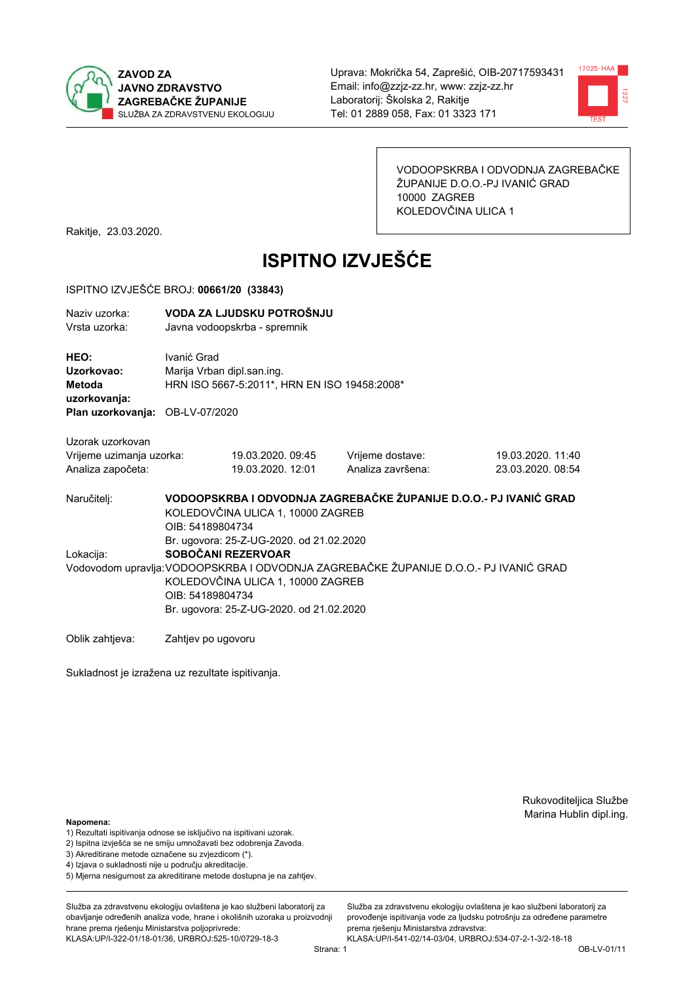



VODOOPSKRBA I ODVODNJA ZAGREBAČKE ŽUPANIJE D.O.O.-PJ IVANIĆ GRAD 10000 ZAGREB KOLEDOVČINA ULICA 1

Rakitje, 23.03.2020.

# **ISPITNO IZVJEŠĆE**

#### ISPITNO IZVJEŠĆE BROJ: 00661/20 (33843)

| Naziv uzorka: | VODA ZA LJUDSKU POTROŠNJU    |
|---------------|------------------------------|
| Vrsta uzorka: | Javna vodoopskrba - spremnik |

HEO: Ivanić Grad Uzorkovao: Marija Vrban dipl.san.ing. Metoda HRN ISO 5667-5:2011\*, HRN EN ISO 19458:2008\* uzorkovanja: Plan uzorkovanja: OB-LV-07/2020

Uzorak uzorkovan Vrijeme uzimanja uzorka: Analiza započeta:

19.03.2020. 09:45 19.03.2020, 12:01 Vrijeme dostave: Analiza završena:

19.03.2020. 11:40 23.03.2020. 08:54

VODOOPSKRBA I ODVODNJA ZAGREBAČKE ŽUPANIJE D.O.O.- PJ IVANIĆ GRAD Naručitelj: KOLEDOVČINA ULICA 1, 10000 ZAGREB OIB: 54189804734 Br. ugovora: 25-Z-UG-2020, od 21.02.2020 SOBOČANI REZERVOAR Lokacija: Vodovodom upravlja: VODOOPSKRBA I ODVODNJA ZAGREBAČKE ŽUPANIJE D.O.O.- PJ IVANIĆ GRAD KOLEDOVČINA ULICA 1, 10000 ZAGREB OIB: 54189804734

Br. ugovora: 25-Z-UG-2020. od 21.02.2020

Oblik zahtjeva: Zahtjev po ugovoru

Sukladnost je izražena uz rezultate ispitivanja.

Rukovoditeljica Službe Marina Hublin dipl.ing.

Napomena:

- 1) Rezultati ispitivanja odnose se isključivo na ispitivani uzorak.
- 2) Ispitna izvješća se ne smiju umnožavati bez odobrenja Zavoda.

3) Akreditirane metode označene su zvjezdicom (\*).

- 4) Iziava o sukladnosti nije u područiu akreditacije.
- 5) Mjerna nesigurnost za akreditirane metode dostupna je na zahtjev.

Služba za zdravstvenu ekologiju ovlaštena je kao službeni laboratorij za obavlianie određenih analiza vode, hrane i okolišnih uzoraka u proizvodniji hrane prema rješenju Ministarstva poljoprivrede:

KLASA:UP/I-322-01/18-01/36, URBROJ:525-10/0729-18-3

Služba za zdravstvenu ekologiju ovlaštena je kao službeni laboratorij za provođenie ispitivania vode za liudsku potrošniu za određene parametre prema riešenju Ministarstva zdravstva:

KLASA:UP/I-541-02/14-03/04, URBROJ:534-07-2-1-3/2-18-18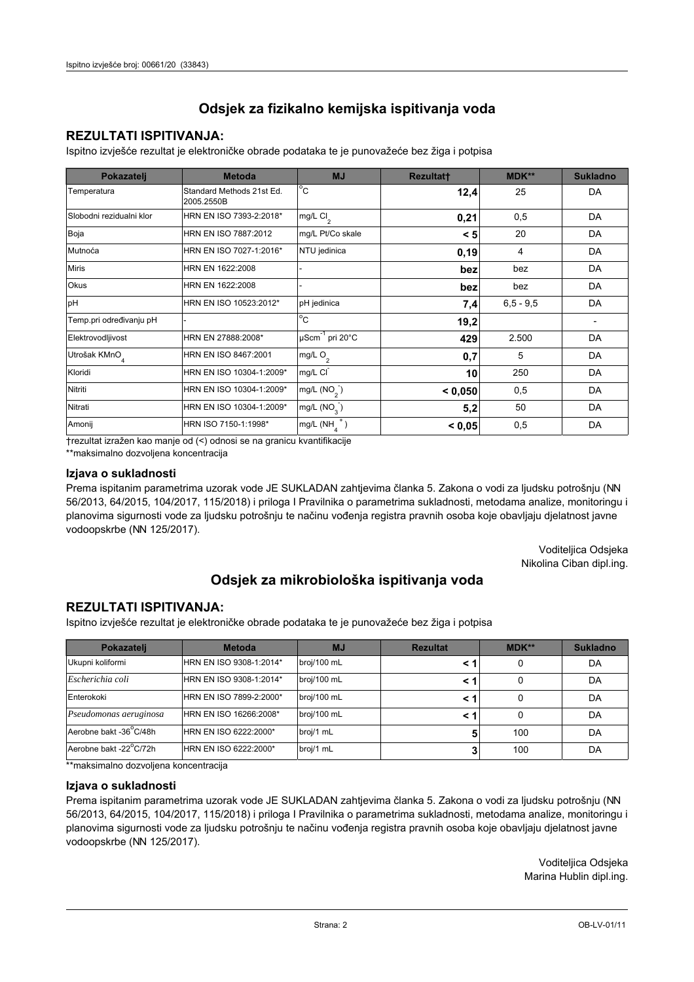# **REZULTATI ISPITIVANJA:**

Ispitno izviešće rezultat je elektroničke obrade podataka te je punovažeće bez žiga i potpisa

| Pokazatelj                | <b>Metoda</b>                           | <b>MJ</b>               | <b>Rezultatt</b> | MDK**         | <b>Sukladno</b> |
|---------------------------|-----------------------------------------|-------------------------|------------------|---------------|-----------------|
| Temperatura               | Standard Methods 21st Ed.<br>2005.2550B | $^{\circ}$ C            | 12,4             | 25            | DA              |
| Slobodni rezidualni klor  | HRN EN ISO 7393-2:2018*                 | mg/L $Cl2$              | 0,21             | 0,5           | DA              |
| Boja                      | HRN EN ISO 7887:2012                    | mg/L Pt/Co skale        | < 5              | 20            | DA              |
| Mutnoća                   | HRN EN ISO 7027-1:2016*                 | NTU jedinica            | 0, 19            | 4             | DA              |
| <b>Miris</b>              | HRN EN 1622:2008                        |                         | bez              | bez           | DA              |
| Okus                      | HRN EN 1622:2008                        |                         | bez              | bez           | DA              |
| pH                        | HRN EN ISO 10523:2012*                  | pH jedinica             | 7,4              | $6, 5 - 9, 5$ | DA              |
| Temp.pri određivanju pH   |                                         | $^{\circ}$ C            | 19,2             |               |                 |
| Elektrovodljivost         | HRN EN 27888:2008*                      | µScm-1 pri 20°C         | 429              | 2.500         | DA              |
| Utrošak KMnO <sub>4</sub> | HRN EN ISO 8467:2001                    | mg/L $O2$               | 0,7              | 5             | DA              |
| Kloridi                   | HRN EN ISO 10304-1:2009*                | mg/L CI                 | 10               | 250           | DA              |
| Nitriti                   | HRN EN ISO 10304-1:2009*                | mg/L $(NO2)$            | < 0.050          | 0,5           | DA              |
| Nitrati                   | HRN EN ISO 10304-1:2009*                | mg/L (NO <sub>3</sub> ) | 5,2              | 50            | DA              |
| Amonij                    | HRN ISO 7150-1:1998*                    | mg/L (NH                | < 0,05           | 0,5           | DA              |

trezultat izražen kao manje od (<) odnosi se na granicu kvantifikacije

\*\*maksimalno dozvoljena koncentracija

## Izjava o sukladnosti

Prema ispitanim parametrima uzorak vode JE SUKLADAN zahtievima članka 5. Zakona o vodi za ljudsku potrošnju (NN 56/2013, 64/2015, 104/2017, 115/2018) i priloga I Pravilnika o parametrima sukladnosti, metodama analize, monitoringu i planovima sigurnosti vode za ljudsku potrošnju te načinu vođenja registra pravnih osoba koje obavljaju djelatnost javne vodoopskrbe (NN 125/2017).

> Voditeljica Odsjeka Nikolina Ciban dipl.ing.

# Odsjek za mikrobiološka ispitivanja voda

## **REZULTATI ISPITIVANJA:**

Ispitno izvješće rezultat je elektroničke obrade podataka te je punovažeće bez žiga i potpisa

| Pokazatelj             | <b>Metoda</b>           | <b>MJ</b>   | <b>Rezultat</b> | <b>MDK**</b> | <b>Sukladno</b> |
|------------------------|-------------------------|-------------|-----------------|--------------|-----------------|
| Ukupni koliformi       | HRN EN ISO 9308-1:2014* | broj/100 mL |                 |              | DA              |
| Escherichia coli       | HRN EN ISO 9308-1:2014* | broj/100 mL | < 1             |              | DA              |
| Enterokoki             | HRN EN ISO 7899-2:2000* | broj/100 mL | < '             |              | DA              |
| Pseudomonas aeruginosa | HRN EN ISO 16266:2008*  | broj/100 mL | < 1             | 0            | DA              |
| Aerobne bakt -36 C/48h | HRN EN ISO 6222:2000*   | broj/1 mL   |                 | 100          | DA              |
| Aerobne bakt -22°C/72h | HRN EN ISO 6222:2000*   | broj/1 mL   |                 | 100          | DA              |

\*\*maksimalno dozvoljena koncentracija

## Izjava o sukladnosti

Prema ispitanim parametrima uzorak vode JE SUKLADAN zahtjevima članka 5. Zakona o vodi za ljudsku potrošnju (NN 56/2013, 64/2015, 104/2017, 115/2018) i priloga I Pravilnika o parametrima sukladnosti, metodama analize, monitoringu i planovima sigurnosti vode za ljudsku potrošnju te načinu vođenja registra pravnih osoba koje obavljaju djelatnost javne vodoopskrbe (NN 125/2017).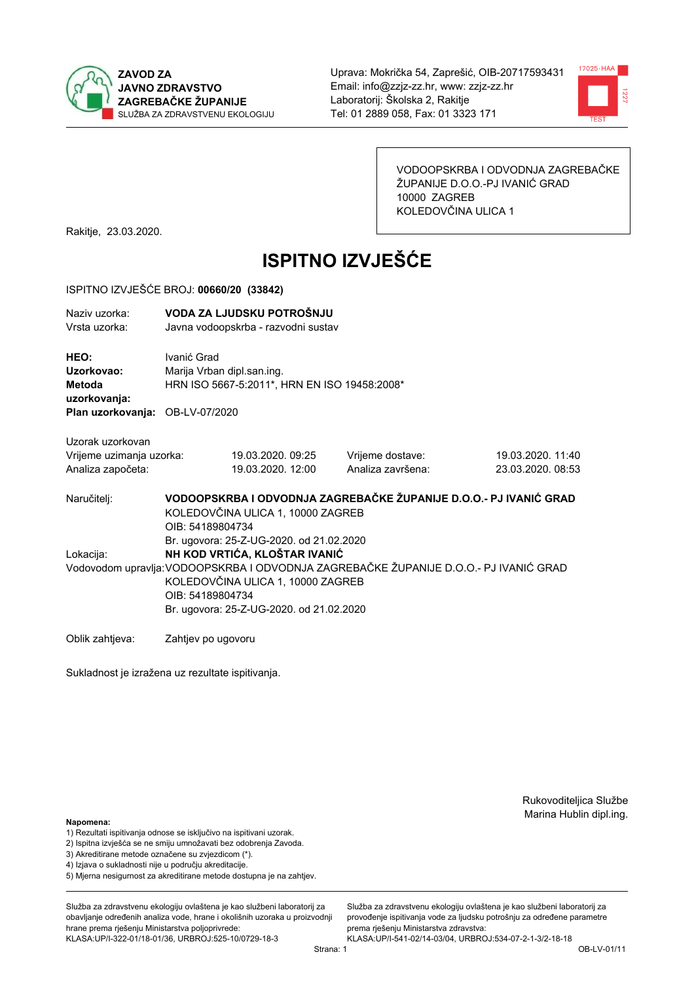



VODOOPSKRBA I ODVODNJA ZAGREBAČKE ŽUPANIJE D.O.O.-PJ IVANIĆ GRAD 10000 ZAGREB KOLEDOVČINA ULICA 1

Rakitje, 23.03.2020.

# **ISPITNO IZVJEŠĆE**

#### ISPITNO IZVJEŠĆE BROJ: 00660/20 (33842)

| Naziv uzorka: | VODA ZA LJUDSKU POTROŠNJU           |
|---------------|-------------------------------------|
| Vrsta uzorka: | Javna vodoopskrba - razvodni sustav |
| HEO:          | Ivanić Grad                         |

Uzorkovao: Marija Vrban dipl.san.ing. Metoda HRN ISO 5667-5:2011\*, HRN EN ISO 19458:2008\* uzorkovanja:

Plan uzorkovanja: OB-LV-07/2020

| Uzorak uzorkovan         |                   |                   |                   |  |
|--------------------------|-------------------|-------------------|-------------------|--|
| Vrijeme uzimanja uzorka: | 19.03.2020.09:25  | Vrijeme dostave:  | 19.03.2020. 11:40 |  |
| Analiza započeta:        | 19.03.2020. 12:00 | Analiza završena: | 23.03.2020.08:53  |  |

VODOOPSKRBA I ODVODNJA ZAGREBAČKE ŽUPANIJE D.O.O.- PJ IVANIĆ GRAD Naručitelj: KOLEDOVČINA ULICA 1, 10000 ZAGREB OIB: 54189804734 Br. ugovora: 25-Z-UG-2020, od 21.02.2020 Lokacija: NH KOD VRTIĆA, KLOŠTAR IVANIĆ Vodovodom upravlja: VODOOPSKRBA I ODVODNJA ZAGREBAČKE ŽUPANIJE D.O.O.- PJ IVANIĆ GRAD KOLEDOVČINA ULICA 1, 10000 ZAGREB OIB: 54189804734 Br. ugovora: 25-Z-UG-2020. od 21.02.2020

Oblik zahtjeva: Zahtjev po ugovoru

Sukladnost je izražena uz rezultate ispitivanja.

Rukovoditeljica Službe Marina Hublin dipl.ing.

#### Napomena:

- 1) Rezultati ispitivanja odnose se isključivo na ispitivani uzorak.
- 2) Ispitna izvješća se ne smiju umnožavati bez odobrenja Zavoda.

3) Akreditirane metode označene su zvjezdicom (\*).

- 4) Iziava o sukladnosti nije u području akreditacije.
- 5) Mjerna nesigurnost za akreditirane metode dostupna je na zahtjev.

Služba za zdravstvenu ekologiju ovlaštena je kao službeni laboratorij za obavlianie određenih analiza vode, hrane i okolišnih uzoraka u proizvodniji hrane prema rješenju Ministarstva poljoprivrede: KLASA:UP/I-322-01/18-01/36, URBROJ:525-10/0729-18-3

Strana: 1

Služba za zdravstvenu ekologiju ovlaštena je kao službeni laboratorij za provođenie ispitivania vode za liudsku potrošniu za određene parametre prema riešenju Ministarstva zdravstva: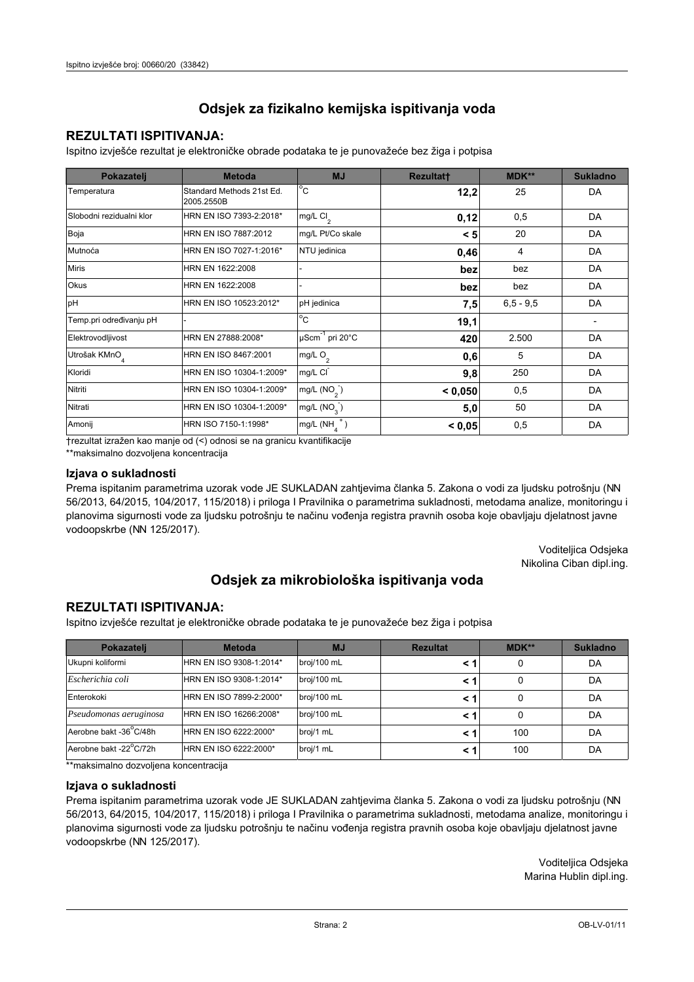# **REZULTATI ISPITIVANJA:**

Ispitno izviešće rezultat je elektroničke obrade podataka te je punovažeće bez žiga i potpisa

| Pokazatelj                | <b>Metoda</b>                           | <b>MJ</b>               | <b>Rezultatt</b> | MDK**         | <b>Sukladno</b> |
|---------------------------|-----------------------------------------|-------------------------|------------------|---------------|-----------------|
| Temperatura               | Standard Methods 21st Ed.<br>2005.2550B | $^{\circ}$ C            | 12,2             | 25            | DA              |
| Slobodni rezidualni klor  | HRN EN ISO 7393-2:2018*                 | mg/L $Cl2$              | 0,12             | 0,5           | DA              |
| Boja                      | HRN EN ISO 7887:2012                    | mg/L Pt/Co skale        | < 5              | 20            | DA              |
| Mutnoća                   | HRN EN ISO 7027-1:2016*                 | NTU jedinica            | 0,46             | 4             | DA              |
| <b>Miris</b>              | HRN EN 1622:2008                        |                         | bez              | bez           | DA              |
| Okus                      | HRN EN 1622:2008                        |                         | bez              | bez           | DA              |
| pH                        | HRN EN ISO 10523:2012*                  | pH jedinica             | 7,5              | $6, 5 - 9, 5$ | DA              |
| Temp.pri određivanju pH   |                                         | $^{\circ}$ C            | 19,1             |               |                 |
| Elektrovodljivost         | HRN EN 27888:2008*                      | µScm-1 pri 20°C         | 420              | 2.500         | DA              |
| Utrošak KMnO <sub>4</sub> | HRN EN ISO 8467:2001                    | mg/L O <sub>2</sub>     | 0,6              | 5             | DA              |
| Kloridi                   | HRN EN ISO 10304-1:2009*                | mg/L CI                 | 9,8              | 250           | DA              |
| Nitriti                   | HRN EN ISO 10304-1:2009*                | mg/L $(NO2)$            | < 0.050          | 0,5           | DA              |
| Nitrati                   | HRN EN ISO 10304-1:2009*                | mg/L (NO <sub>3</sub> ) | 5,0              | 50            | DA              |
| Amonij                    | HRN ISO 7150-1:1998*                    | mg/L (NH                | < 0,05           | 0,5           | DA              |

trezultat izražen kao manje od (<) odnosi se na granicu kvantifikacije

\*\*maksimalno dozvoljena koncentracija

## Izjava o sukladnosti

Prema ispitanim parametrima uzorak vode JE SUKLADAN zahtievima članka 5. Zakona o vodi za ljudsku potrošnju (NN 56/2013, 64/2015, 104/2017, 115/2018) i priloga I Pravilnika o parametrima sukladnosti, metodama analize, monitoringu i planovima sigurnosti vode za ljudsku potrošnju te načinu vođenja registra pravnih osoba koje obavljaju djelatnost javne vodoopskrbe (NN 125/2017).

> Voditeljica Odsjeka Nikolina Ciban dipl.ing.

# Odsjek za mikrobiološka ispitivanja voda

## **REZULTATI ISPITIVANJA:**

Ispitno izvješće rezultat je elektroničke obrade podataka te je punovažeće bez žiga i potpisa

| Pokazatelj             | <b>Metoda</b>           | <b>MJ</b>   | <b>Rezultat</b> | <b>MDK**</b> | <b>Sukladno</b> |
|------------------------|-------------------------|-------------|-----------------|--------------|-----------------|
| Ukupni koliformi       | HRN EN ISO 9308-1:2014* | broj/100 mL |                 |              | DA              |
| Escherichia coli       | HRN EN ISO 9308-1:2014* | broj/100 mL | < 1             |              | DA              |
| Enterokoki             | HRN EN ISO 7899-2:2000* | broj/100 mL | < '             |              | DA              |
| Pseudomonas aeruginosa | HRN EN ISO 16266:2008*  | broj/100 mL | < 1             | 0            | DA              |
| Aerobne bakt -36 C/48h | HRN EN ISO 6222:2000*   | broj/1 mL   |                 | 100          | DA              |
| Aerobne bakt -22°C/72h | HRN EN ISO 6222:2000*   | broj/1 mL   | < 1             | 100          | DA              |

\*\*maksimalno dozvoljena koncentracija

## Izjava o sukladnosti

Prema ispitanim parametrima uzorak vode JE SUKLADAN zahtjevima članka 5. Zakona o vodi za ljudsku potrošnju (NN 56/2013, 64/2015, 104/2017, 115/2018) i priloga I Pravilnika o parametrima sukladnosti, metodama analize, monitoringu i planovima sigurnosti vode za ljudsku potrošnju te načinu vođenja registra pravnih osoba koje obavljaju djelatnost javne vodoopskrbe (NN 125/2017).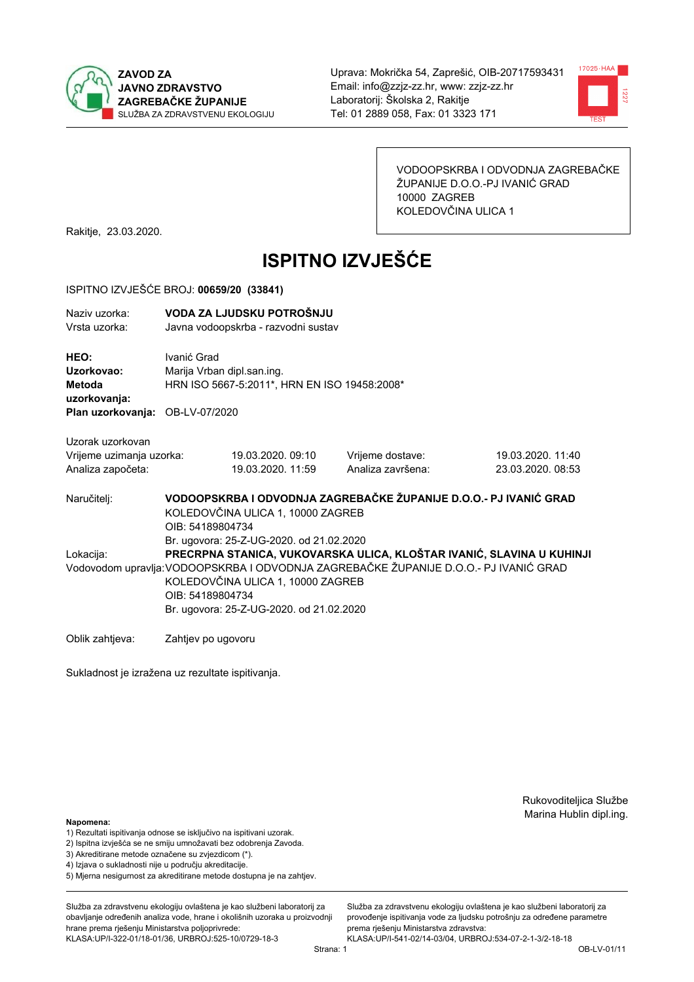



VODOOPSKRBA I ODVODNJA ZAGREBAČKE ŽUPANIJE D.O.O.-PJ IVANIĆ GRAD 10000 ZAGREB KOLEDOVČINA ULICA 1

Rakitje, 23.03.2020.

# **ISPITNO IZVJEŠĆE**

#### ISPITNO IZVJEŠĆE BROJ: 00659/20 (33841)

| Naziv uzorka:<br>Vrsta uzorka:                                                  | VODA ZA LJUDSKU POTROŠNJU<br>Javna vodoopskrba - razvodni sustav                                                                                                                                                                                                                                                |                                                                            |                                       |                                        |  |  |  |  |
|---------------------------------------------------------------------------------|-----------------------------------------------------------------------------------------------------------------------------------------------------------------------------------------------------------------------------------------------------------------------------------------------------------------|----------------------------------------------------------------------------|---------------------------------------|----------------------------------------|--|--|--|--|
| HEO:<br>Uzorkovao:<br>Metoda<br>uzorkovanja:<br>Plan uzorkovanja: OB-LV-07/2020 | Ivanić Grad                                                                                                                                                                                                                                                                                                     | Marija Vrban dipl.san.ing.<br>HRN ISO 5667-5:2011*, HRN EN ISO 19458:2008* |                                       |                                        |  |  |  |  |
| Uzorak uzorkovan<br>Vrijeme uzimanja uzorka:<br>Analiza započeta:               |                                                                                                                                                                                                                                                                                                                 | 19.03.2020, 09:10<br>19.03.2020. 11:59                                     | Vrijeme dostave:<br>Analiza završena: | 19.03.2020. 11:40<br>23.03.2020. 08:53 |  |  |  |  |
| Naručitelj:                                                                     | VODOOPSKRBA I ODVODNJA ZAGREBAČKE ŽUPANIJE D.O.O.- PJ IVANIĆ GRAD<br>KOLEDOVČINA ULICA 1, 10000 ZAGREB<br>OIB: 54189804734                                                                                                                                                                                      |                                                                            |                                       |                                        |  |  |  |  |
| Lokacija:                                                                       | Br. ugovora: 25-Z-UG-2020. od 21.02.2020<br>PRECRPNA STANICA, VUKOVARSKA ULICA, KLOŠTAR IVANIĆ, SLAVINA U KUHINJI<br>Vodovodom upravlja: VODOOPSKRBA I ODVODNJA ZAGREBAČKE ŽUPANIJE D.O.O.- PJ IVANIĆ GRAD<br>KOLEDOVČINA ULICA 1, 10000 ZAGREB<br>OIB: 54189804734<br>Br. ugovora: 25-Z-UG-2020. od 21.02.2020 |                                                                            |                                       |                                        |  |  |  |  |
| Oblik zahtjeva:                                                                 | Zahtjev po ugovoru                                                                                                                                                                                                                                                                                              |                                                                            |                                       |                                        |  |  |  |  |

Sukladnost je izražena uz rezultate ispitivanja.

Rukovoditeljica Službe Marina Hublin dipl.ing.

## Napomena:

- 1) Rezultati ispitivanja odnose se isključivo na ispitivani uzorak.
- 2) Ispitna izvješća se ne smiju umnožavati bez odobrenja Zavoda.
- 3) Akreditirane metode označene su zvjezdicom (\*).
- 4) Iziava o sukladnosti nije u području akreditacije.
- 5) Mjerna nesigurnost za akreditirane metode dostupna je na zahtjev.

Služba za zdravstvenu ekologiju ovlaštena je kao službeni laboratorij za obavlianie određenih analiza vode, hrane i okolišnih uzoraka u proizvodniji hrane prema rješenju Ministarstva poljoprivrede: KLASA:UP/I-322-01/18-01/36, URBROJ:525-10/0729-18-3

Služba za zdravstvenu ekologiju ovlaštena je kao službeni laboratorij za provođenie ispitivania vode za liudsku potrošniu za određene parametre prema rješenju Ministarstva zdravstva: KLASA:UP/I-541-02/14-03/04, URBROJ:534-07-2-1-3/2-18-18

Strana: 1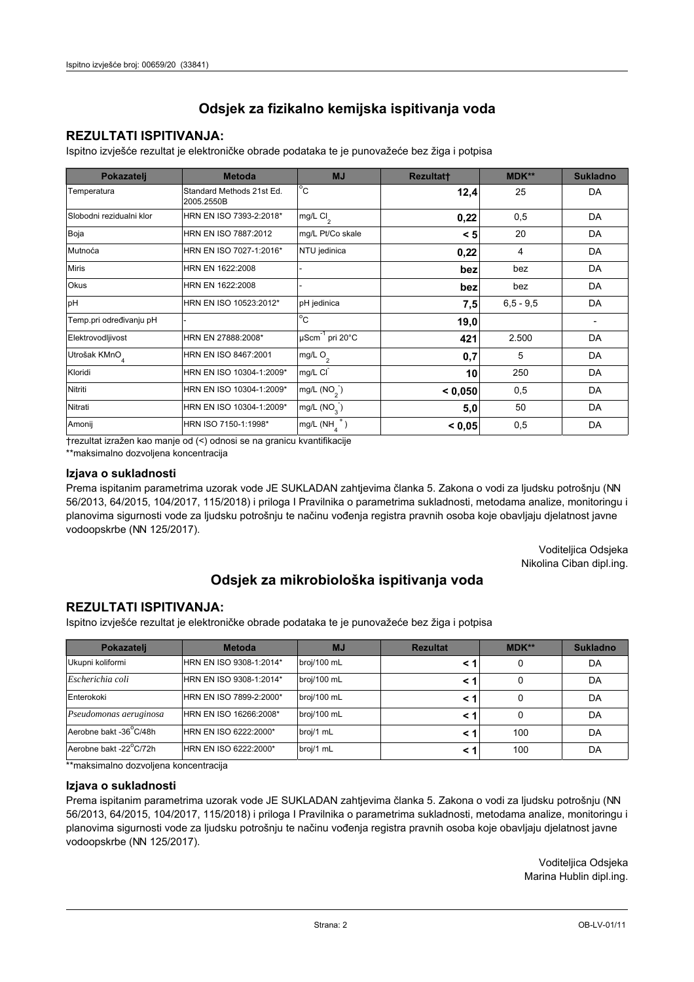# **REZULTATI ISPITIVANJA:**

Ispitno izviešće rezultat je elektroničke obrade podataka te je punovažeće bez žiga i potpisa

| Pokazatelj                | <b>Metoda</b>                           | <b>MJ</b>               | <b>Rezultatt</b> | MDK**         | <b>Sukladno</b> |
|---------------------------|-----------------------------------------|-------------------------|------------------|---------------|-----------------|
| Temperatura               | Standard Methods 21st Ed.<br>2005.2550B | $^{\circ}$ C            | 12,4             | 25            | DA              |
| Slobodni rezidualni klor  | HRN EN ISO 7393-2:2018*                 | mg/L $Cl2$              | 0,22             | 0,5           | DA              |
| Boja                      | HRN EN ISO 7887:2012                    | mg/L Pt/Co skale        | < 5              | 20            | DA              |
| Mutnoća                   | HRN EN ISO 7027-1:2016*                 | NTU jedinica            | 0,22             | 4             | DA              |
| <b>Miris</b>              | HRN EN 1622:2008                        |                         | bez              | bez           | DA              |
| Okus                      | HRN EN 1622:2008                        |                         | bez              | bez           | DA              |
| pH                        | HRN EN ISO 10523:2012*                  | pH jedinica             | 7,5              | $6, 5 - 9, 5$ | DA              |
| Temp.pri određivanju pH   |                                         | $^{\circ}$ C            | 19,0             |               |                 |
| Elektrovodljivost         | HRN EN 27888:2008*                      | µScm-1 pri 20°C         | 421              | 2.500         | DA              |
| Utrošak KMnO <sub>4</sub> | HRN EN ISO 8467:2001                    | mg/L $O2$               | 0,7              | 5             | DA              |
| Kloridi                   | HRN EN ISO 10304-1:2009*                | mg/L CI                 | 10               | 250           | DA              |
| Nitriti                   | HRN EN ISO 10304-1:2009*                | mg/L $(NO2)$            | < 0.050          | 0,5           | DA              |
| Nitrati                   | HRN EN ISO 10304-1:2009*                | mg/L (NO <sub>3</sub> ) | 5,0              | 50            | DA              |
| Amonij                    | HRN ISO 7150-1:1998*                    | mg/L (NH                | < 0,05           | 0,5           | DA              |

trezultat izražen kao manje od (<) odnosi se na granicu kvantifikacije

\*\*maksimalno dozvoljena koncentracija

## Izjava o sukladnosti

Prema ispitanim parametrima uzorak vode JE SUKLADAN zahtievima članka 5. Zakona o vodi za ljudsku potrošnju (NN 56/2013, 64/2015, 104/2017, 115/2018) i priloga I Pravilnika o parametrima sukladnosti, metodama analize, monitoringu i planovima sigurnosti vode za ljudsku potrošnju te načinu vođenja registra pravnih osoba koje obavljaju djelatnost javne vodoopskrbe (NN 125/2017).

> Voditeljica Odsjeka Nikolina Ciban dipl.ing.

# Odsjek za mikrobiološka ispitivanja voda

## **REZULTATI ISPITIVANJA:**

Ispitno izvješće rezultat je elektroničke obrade podataka te je punovažeće bez žiga i potpisa

| Pokazatelj             | <b>Metoda</b>           | <b>MJ</b>   | <b>Rezultat</b> | <b>MDK**</b> | <b>Sukladno</b> |
|------------------------|-------------------------|-------------|-----------------|--------------|-----------------|
| Ukupni koliformi       | HRN EN ISO 9308-1:2014* | broj/100 mL |                 |              | DA              |
| Escherichia coli       | HRN EN ISO 9308-1:2014* | broj/100 mL | < 1             |              | DA              |
| Enterokoki             | HRN EN ISO 7899-2:2000* | broj/100 mL | < '             |              | DA              |
| Pseudomonas aeruginosa | HRN EN ISO 16266:2008*  | broj/100 mL | < 1             | 0            | DA              |
| Aerobne bakt -36 C/48h | HRN EN ISO 6222:2000*   | broj/1 mL   |                 | 100          | DA              |
| Aerobne bakt -22°C/72h | HRN EN ISO 6222:2000*   | broj/1 mL   | < 1             | 100          | DA              |

\*\*maksimalno dozvoljena koncentracija

## Izjava o sukladnosti

Prema ispitanim parametrima uzorak vode JE SUKLADAN zahtjevima članka 5. Zakona o vodi za ljudsku potrošnju (NN 56/2013, 64/2015, 104/2017, 115/2018) i priloga I Pravilnika o parametrima sukladnosti, metodama analize, monitoringu i planovima sigurnosti vode za ljudsku potrošnju te načinu vođenja registra pravnih osoba koje obavljaju djelatnost javne vodoopskrbe (NN 125/2017).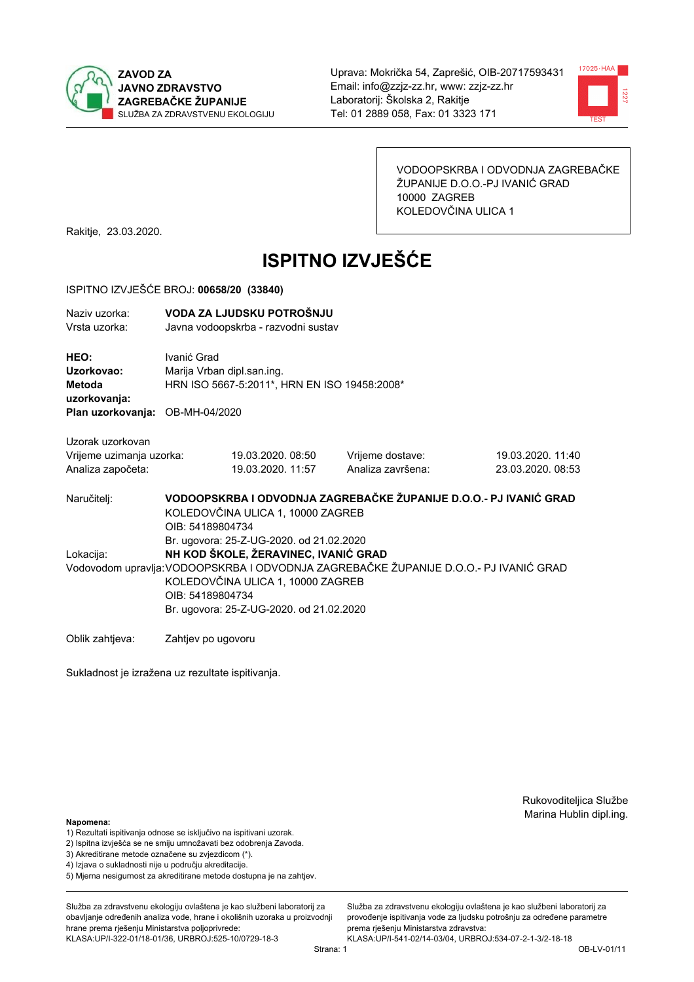



VODOOPSKRBA I ODVODNJA ZAGREBAČKE ŽUPANIJE D.O.O.-PJ IVANIĆ GRAD 10000 ZAGREB KOLEDOVČINA ULICA 1

Rakitje, 23.03.2020.

# **ISPITNO IZVJEŠĆE**

#### ISPITNO IZVJEŠĆE BROJ: 00658/20 (33840)

| Naziy uzorka:<br>Vrsta uzorka:                                                  |                                                                                                                                                                                                                                    | VODA ZA LJUDSKU POTROŠNJU<br>Javna vodoopskrba - razvodni sustav           |                                       |                                        |  |  |  |  |
|---------------------------------------------------------------------------------|------------------------------------------------------------------------------------------------------------------------------------------------------------------------------------------------------------------------------------|----------------------------------------------------------------------------|---------------------------------------|----------------------------------------|--|--|--|--|
| HEO:<br>Uzorkovao:<br>Metoda<br>uzorkovanja:<br>Plan uzorkovanja: OB-MH-04/2020 | Ivanić Grad                                                                                                                                                                                                                        | Marija Vrban dipl.san.ing.<br>HRN ISO 5667-5:2011*, HRN EN ISO 19458:2008* |                                       |                                        |  |  |  |  |
| Uzorak uzorkovan<br>Vrijeme uzimanja uzorka:<br>Analiza započeta:               |                                                                                                                                                                                                                                    | 19.03.2020.08:50<br>19.03.2020. 11:57                                      | Vrijeme dostave:<br>Analiza završena: | 19.03.2020. 11:40<br>23.03.2020, 08:53 |  |  |  |  |
| Naručitelj:                                                                     | VODOOPSKRBA I ODVODNJA ZAGREBAČKE ŽUPANIJE D.O.O.- PJ IVANIĆ GRAD<br>KOLEDOVČINA ULICA 1, 10000 ZAGREB<br>OIB: 54189804734<br>Br. ugovora: 25-Z-UG-2020. od 21.02.2020                                                             |                                                                            |                                       |                                        |  |  |  |  |
| Lokacija:                                                                       | NH KOD ŠKOLE, ŽERAVINEC, IVANIĆ GRAD<br>Vodovodom upravlja: VODOOPSKRBA I ODVODNJA ZAGREBAČKE ŽUPANIJE D.O.O.- PJ IVANIĆ GRAD<br>KOLEDOVČINA ULICA 1, 10000 ZAGREB<br>OIB: 54189804734<br>Br. ugovora: 25-Z-UG-2020. od 21.02.2020 |                                                                            |                                       |                                        |  |  |  |  |
| Oblik zahtjeva:                                                                 | Zahtjev po ugovoru                                                                                                                                                                                                                 |                                                                            |                                       |                                        |  |  |  |  |

Zahtjev po ugovoru

Sukladnost je izražena uz rezultate ispitivanja.

Rukovoditeljica Službe Marina Hublin dipl.ing.

Služba za zdravstvenu ekologiju ovlaštena je kao službeni laboratorij za

provođenie ispitivania vode za liudsku potrošniu za određene parametre

prema rješenju Ministarstva zdravstva:

#### Napomena:

- 1) Rezultati ispitivanja odnose se isključivo na ispitivani uzorak.
- 2) Ispitna izvješća se ne smiju umnožavati bez odobrenja Zavoda.
- 3) Akreditirane metode označene su zvjezdicom (\*).
- 4) Iziava o sukladnosti nije u području akreditacije.
- 5) Mjerna nesigurnost za akreditirane metode dostupna je na zahtjev.

Služba za zdravstvenu ekologiju ovlaštena je kao službeni laboratorij za obavlianie određenih analiza vode, hrane i okolišnih uzoraka u proizvodniji hrane prema rješenju Ministarstva poljoprivrede: KLASA:UP/I-322-01/18-01/36, URBROJ:525-10/0729-18-3

KLASA:UP/I-541-02/14-03/04, URBROJ:534-07-2-1-3/2-18-18 Strana: 1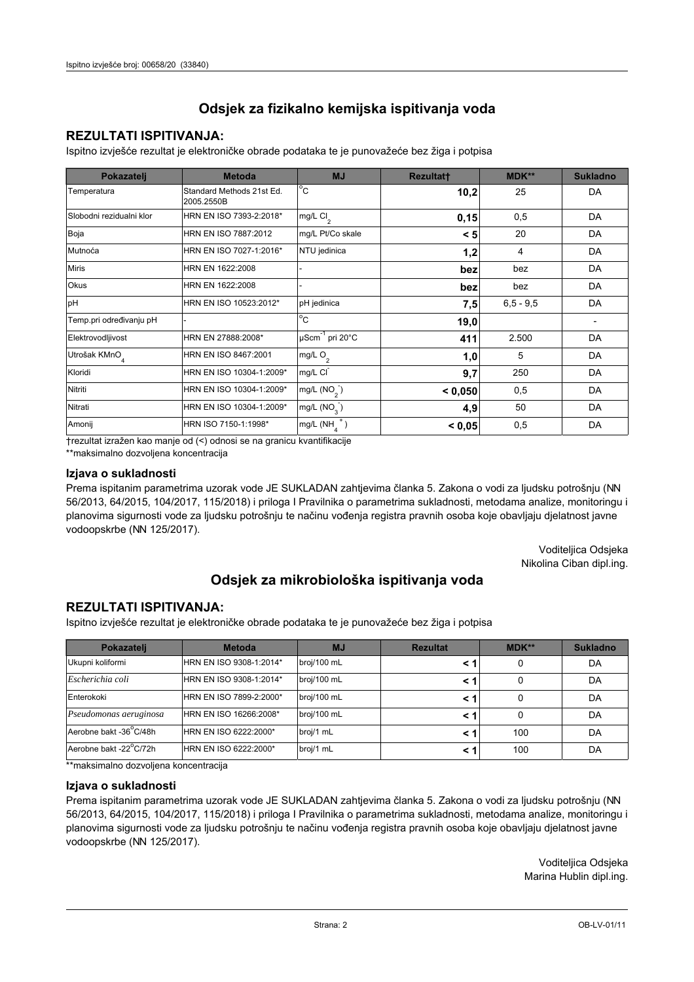# **REZULTATI ISPITIVANJA:**

Ispitno izviešće rezultat je elektroničke obrade podataka te je punovažeće bez žiga i potpisa

| Pokazatelj                | <b>Metoda</b>                           | <b>MJ</b>               | <b>Rezultatt</b> | MDK**         | <b>Sukladno</b> |
|---------------------------|-----------------------------------------|-------------------------|------------------|---------------|-----------------|
| Temperatura               | Standard Methods 21st Ed.<br>2005.2550B | $^{\circ}$ C            | 10,2             | 25            | DA              |
| Slobodni rezidualni klor  | HRN EN ISO 7393-2:2018*                 | $mg/L$ Cl <sub>2</sub>  | 0,15             | 0,5           | DA              |
| Boja                      | HRN EN ISO 7887:2012                    | mg/L Pt/Co skale        | < 5              | 20            | DA              |
| Mutnoća                   | HRN EN ISO 7027-1:2016*                 | NTU jedinica            | 1,2              | 4             | DA              |
| <b>Miris</b>              | HRN EN 1622:2008                        |                         | bez              | bez           | DA              |
| Okus                      | HRN EN 1622:2008                        |                         | bez              | bez           | DA              |
| pH                        | HRN EN ISO 10523:2012*                  | pH jedinica             | 7,5              | $6, 5 - 9, 5$ | DA              |
| Temp.pri određivanju pH   |                                         | $^{\circ}$ C            | 19,0             |               |                 |
| Elektrovodljivost         | HRN EN 27888:2008*                      | µScm-1 pri 20°C         | 411              | 2.500         | DA              |
| Utrošak KMnO <sub>4</sub> | HRN EN ISO 8467:2001                    | mg/L $O2$               | 1,0              | 5             | DA              |
| Kloridi                   | HRN EN ISO 10304-1:2009*                | mg/L CI                 | 9,7              | 250           | DA              |
| Nitriti                   | HRN EN ISO 10304-1:2009*                | mg/L $(NO2)$            | < 0.050          | 0,5           | DA              |
| Nitrati                   | HRN EN ISO 10304-1:2009*                | mg/L (NO <sub>3</sub> ) | 4,9              | 50            | DA              |
| Amonij                    | HRN ISO 7150-1:1998*                    | mg/L (NH                | < 0,05           | 0,5           | DA              |

trezultat izražen kao manje od (<) odnosi se na granicu kvantifikacije

\*\*maksimalno dozvoljena koncentracija

## Izjava o sukladnosti

Prema ispitanim parametrima uzorak vode JE SUKLADAN zahtievima članka 5. Zakona o vodi za ljudsku potrošnju (NN 56/2013, 64/2015, 104/2017, 115/2018) i priloga I Pravilnika o parametrima sukladnosti, metodama analize, monitoringu i planovima sigurnosti vode za ljudsku potrošnju te načinu vođenja registra pravnih osoba koje obavljaju djelatnost javne vodoopskrbe (NN 125/2017).

> Voditeljica Odsjeka Nikolina Ciban dipl.ing.

# Odsjek za mikrobiološka ispitivanja voda

## **REZULTATI ISPITIVANJA:**

Ispitno izvješće rezultat je elektroničke obrade podataka te je punovažeće bez žiga i potpisa

| Pokazatelj             | <b>Metoda</b>           | <b>MJ</b>   | <b>Rezultat</b> | <b>MDK**</b> | <b>Sukladno</b> |
|------------------------|-------------------------|-------------|-----------------|--------------|-----------------|
| Ukupni koliformi       | HRN EN ISO 9308-1:2014* | broj/100 mL |                 |              | DA              |
| Escherichia coli       | HRN EN ISO 9308-1:2014* | broj/100 mL | < 1             |              | DA              |
| Enterokoki             | HRN EN ISO 7899-2:2000* | broj/100 mL | < '             |              | DA              |
| Pseudomonas aeruginosa | HRN EN ISO 16266:2008*  | broj/100 mL | < 1             | 0            | DA              |
| Aerobne bakt -36 C/48h | HRN EN ISO 6222:2000*   | broj/1 mL   |                 | 100          | DA              |
| Aerobne bakt -22°C/72h | HRN EN ISO 6222:2000*   | broj/1 mL   | < 1             | 100          | DA              |

\*\*maksimalno dozvoljena koncentracija

#### Izjava o sukladnosti

Prema ispitanim parametrima uzorak vode JE SUKLADAN zahtjevima članka 5. Zakona o vodi za ljudsku potrošnju (NN 56/2013, 64/2015, 104/2017, 115/2018) i priloga I Pravilnika o parametrima sukladnosti, metodama analize, monitoringu i planovima sigurnosti vode za ljudsku potrošnju te načinu vođenja registra pravnih osoba koje obavljaju djelatnost javne vodoopskrbe (NN 125/2017).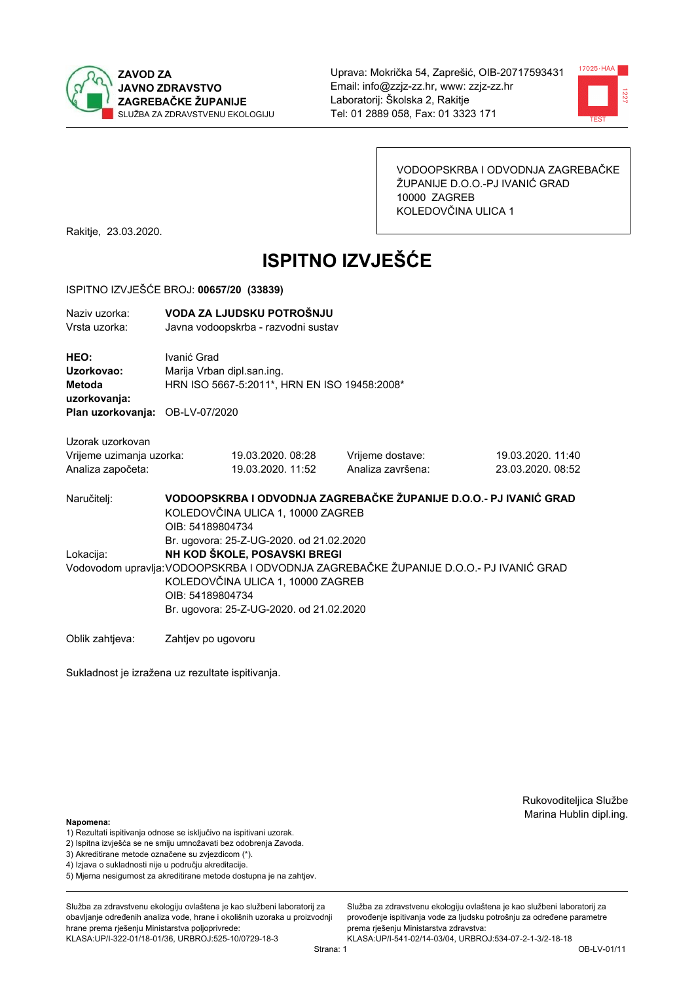



VODOOPSKRBA I ODVODNJA ZAGREBAČKE ŽUPANIJE D.O.O.-PJ IVANIĆ GRAD 10000 ZAGREB KOLEDOVČINA ULICA 1

Rakitje, 23.03.2020.

# **ISPITNO IZVJEŠĆE**

#### ISPITNO IZVJEŠĆE BROJ: 00657/20 (33839)

| Naziv uzorka: | VODA ZA LJUDSKU POTROŠNJU           |
|---------------|-------------------------------------|
| Vrsta uzorka: | Javna vodoopskrba - razvodni sustav |

HEO: Ivanić Grad Uzorkovao: Marija Vrban dipl.san.ing. Metoda HRN ISO 5667-5:2011\*, HRN EN ISO 19458:2008\* uzorkovanja: Plan uzorkovanja: OB-LV-07/2020

Uzorak uzorkovan Vrijeme uzimanja uzorka: Analiza započeta:

19.03.2020.08:28 19.03.2020, 11:52 Vrijeme dostave: Analiza završena:

19.03.2020. 11:40 23.03.2020. 08:52

VODOOPSKRBA I ODVODNJA ZAGREBAČKE ŽUPANIJE D.O.O.- PJ IVANIĆ GRAD Naručitelj: KOLEDOVČINA ULICA 1, 10000 ZAGREB OIB: 54189804734 Br. ugovora: 25-Z-UG-2020, od 21.02.2020 Lokacija: NH KOD ŠKOLE, POSAVSKI BREGI Vodovodom upravlja: VODOOPSKRBA I ODVODNJA ZAGREBAČKE ŽUPANIJE D.O.O.- PJ IVANIĆ GRAD KOLEDOVČINA ULICA 1, 10000 ZAGREB OIB: 54189804734 Br. ugovora: 25-Z-UG-2020, od 21.02.2020

Oblik zahtjeva: Zahtjev po ugovoru

Sukladnost je izražena uz rezultate ispitivanja.

Rukovoditeljica Službe Marina Hublin dipl.ing.

Napomena:

- 1) Rezultati ispitivanja odnose se isključivo na ispitivani uzorak.
- 2) Ispitna izvješća se ne smiju umnožavati bez odobrenja Zavoda.

3) Akreditirane metode označene su zvjezdicom (\*).

- 4) Iziava o sukladnosti nije u područiu akreditacije.
- 5) Mjerna nesigurnost za akreditirane metode dostupna je na zahtjev.

Služba za zdravstvenu ekologiju ovlaštena je kao službeni laboratorij za obavlianie određenih analiza vode, hrane i okolišnih uzoraka u proizvodniji hrane prema rješenju Ministarstva poljoprivrede: KLASA:UP/I-322-01/18-01/36, URBROJ:525-10/0729-18-3

Služba za zdravstvenu ekologiju ovlaštena je kao službeni laboratorij za provođenie ispitivania vode za liudsku potrošniu za određene parametre prema riešenju Ministarstva zdravstva: